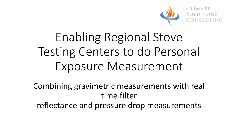

# Enabling Regional Stove Testing Centers to do Personal Exposure Measurement

Combining gravimetric measurements with real time filter reflectance and pressure drop measurements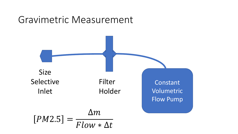#### Gravimetric Measurement

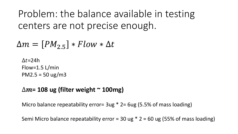Problem: the balance available in testing centers are not precise enough.

 $\Delta m = [PM_{2.5}] * Flow * \Delta t$ 

 $\Delta t = 24h$ Flow=1.5 L/min PM2.5 =  $50 \text{ ug/m}$ 3

#### ∆**= 108 ug (filter weight ~ 100mg)**

Micro balance repeatability error=  $3ug * 2 = 6ug (5.5% of mass loading)$ 

Semi Micro balance repeatability error = 30 ug  $*$  2 = 60 ug (55% of mass loading)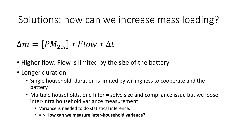# Solutions: how can we increase mass loading?

#### $\Delta m = [PM_{2.5}] * Flow * \Delta t$

- Higher flow: Flow is limited by the size of the battery
- Longer duration
	- Single household: duration is limited by willingness to cooperate and the battery
	- Multiple households, one filter = solve size and compliance issue but we loose inter-intra household variance measurement.
		- Variance is needed to do statistical inference.
		- = > **How can we measure inter-household variance?**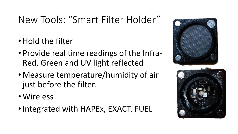# New Tools: "Smart Filter Holder"

- Hold the filter
- Provide real time readings of the Infra-Red, Green and UV light reflected
- Measure temperature/humidity of air just before the filter.
- Wireless
- •Integrated with HAPEx, EXACT, FUEL

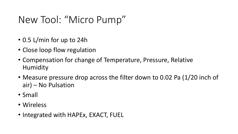### New Tool: "Micro Pump"

- 0.5 L/min for up to 24h
- Close loop flow regulation
- Compensation for change of Temperature, Pressure, Relative Humidity
- Measure pressure drop across the filter down to 0.02 Pa (1/20 inch of air) – No Pulsation
- Small
- Wireless
- Integrated with HAPEx, EXACT, FUEL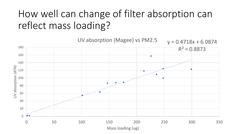# How well can change of filter absorption can reflect mass loading?

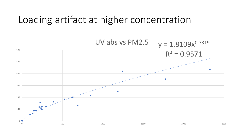#### Loading artifact at higher concentration

UV abs vs PM2.5 $y = 1.8109x^{0.7319}$ 600  $R^2 = 0.9571$ 500  $\bullet$ 400 ٠ 300 and the company of the company of the company of the company of the company of the company of the company of the **A** control of 200 **Comments** 100  $\overline{\bullet\bullet\bullet\cdots}$ 0  $0$  500 500 500  $1000$   $1500$   $2500$   $2500$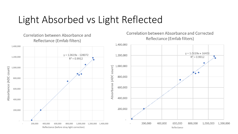#### Light Absorbed vs Light Reflected

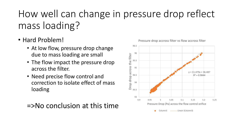# How well can change in pressure drop reflect mass loading?

- Hard Problem!
	- At low flow, pressure drop change due to mass loading are small
	- The flow impact the pressure drop across the filter.
	- Need precise flow control and correction to isolate effect of mass loading

=>No conclusion at this time



Pressure drop accross filter vs flow accross filter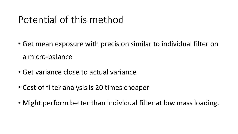### Potential of this method

- Get mean exposure with precision similar to individual filter on a micro-balance
- Get variance close to actual variance
- Cost of filter analysis is 20 times cheaper
- Might perform better than individual filter at low mass loading.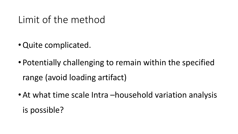#### Limit of the method

- •Quite complicated.
- Potentially challenging to remain within the specified range (avoid loading artifact)
- At what time scale Intra –household variation analysis is possible?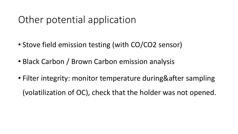# Other potential application

- Stove field emission testing (with CO/CO2 sensor)
- Black Carbon / Brown Carbon emission analysis
- Filter integrity: monitor temperature during&after sampling (volatilization of OC), check that the holder was not opened.